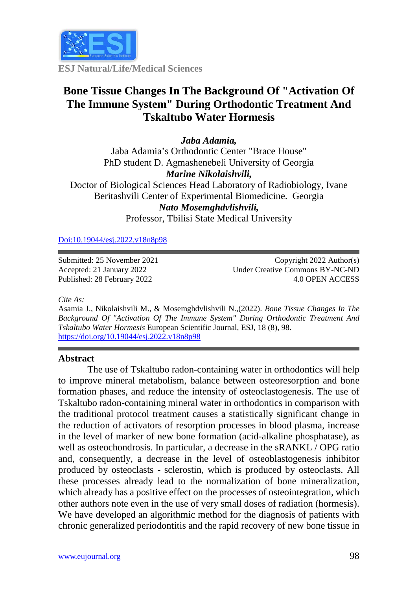

**ESJ Natural/Life/Medical Sciences**

# **Bone Tissue Changes In The Background Of "Activation Of The Immune System" During Orthodontic Treatment And Tskaltubo Water Hormesis**

## *Jaba Adamia,*

Jaba Adamia's Orthodontic Center "Brace House" PhD student D. Agmashenebeli University of Georgia *Marine Nikolaishvili,* Doctor of Biological Sciences Head Laboratory of Radiobiology, Ivane Beritashvili Center of Experimental Biomedicine. Georgia *Nato Mosemghdvlishvili,*

Professor, Tbilisi State Medical University

[Doi:10.19044/esj.2022.v18n8p98](https://doi.org/10.19044/esj.2021.v17n29p1)

Submitted: 25 November 2021 Accepted: 21 January 2022 Published: 28 February 2022

Copyright 2022 Author(s) Under Creative Commons BY-NC-ND 4.0 OPEN ACCESS

*Cite As:*

Asamia J., Nikolaishvili M., & Mosemghdvlishvili N.,(2022). *Bone Tissue Changes In The Background Of "Activation Of The Immune System" During Orthodontic Treatment And Tskaltubo Water Hormesis* European Scientific Journal, ESJ, 18 (8), 98. <https://doi.org/10.19044/esj.2022.v18n8p98>

### **Abstract**

The use of Tskaltubo radon-containing water in orthodontics will help to improve mineral metabolism, balance between osteoresorption and bone formation phases, and reduce the intensity of osteoclastogenesis. The use of Tskaltubo radon-containing mineral water in orthodontics in comparison with the traditional protocol treatment causes a statistically significant change in the reduction of activators of resorption processes in blood plasma, increase in the level of marker of new bone formation (acid-alkaline phosphatase), as well as osteochondrosis. In particular, a decrease in the sRANKL / OPG ratio and, consequently, a decrease in the level of osteoblastogenesis inhibitor produced by osteoclasts - sclerostin, which is produced by osteoclasts. All these processes already lead to the normalization of bone mineralization, which already has a positive effect on the processes of osteointegration, which other authors note even in the use of very small doses of radiation (hormesis). We have developed an algorithmic method for the diagnosis of patients with chronic generalized periodontitis and the rapid recovery of new bone tissue in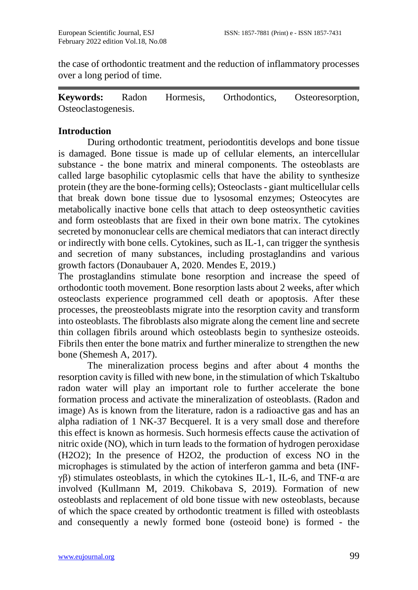the case of orthodontic treatment and the reduction of inflammatory processes over a long period of time.

**Keywords:** Radon Hormesis, Orthodontics, Osteoresorption, Osteoclastogenesis.

## **Introduction**

During orthodontic treatment, periodontitis develops and bone tissue is damaged. Bone tissue is made up of cellular elements, an intercellular substance - the bone matrix and mineral components. The osteoblasts are called large basophilic cytoplasmic cells that have the ability to synthesize protein (they are the bone-forming cells); Osteoclasts - giant multicellular cells that break down bone tissue due to lysosomal enzymes; Osteocytes are metabolically inactive bone cells that attach to deep osteosynthetic cavities and form osteoblasts that are fixed in their own bone matrix. The cytokines secreted by mononuclear cells are chemical mediators that can interact directly or indirectly with bone cells. Cytokines, such as IL-1, can trigger the synthesis and secretion of many substances, including prostaglandins and various growth factors (Donaubauer A, 2020. Mendes E, 2019.)

The prostaglandins stimulate bone resorption and increase the speed of orthodontic tooth movement. Bone resorption lasts about 2 weeks, after which osteoclasts experience programmed cell death or apoptosis. After these processes, the preosteoblasts migrate into the resorption cavity and transform into osteoblasts. The fibroblasts also migrate along the cement line and secrete thin collagen fibrils around which osteoblasts begin to synthesize osteoids. Fibrils then enter the bone matrix and further mineralize to strengthen the new bone (Shemesh A, 2017).

The mineralization process begins and after about 4 months the resorption cavity is filled with new bone, in the stimulation of which Tskaltubo radon water will play an important role to further accelerate the bone formation process and activate the mineralization of osteoblasts. (Radon and image) As is known from the literature, radon is a radioactive gas and has an alpha radiation of 1 NK-37 Becquerel. It is a very small dose and therefore this effect is known as hormesis. Such hormesis effects cause the activation of nitric oxide (NO), which in turn leads to the formation of hydrogen peroxidase (H2O2); In the presence of H2O2, the production of excess NO in the microphages is stimulated by the action of interferon gamma and beta (INFγβ) stimulates osteoblasts, in which the cytokines IL-1, IL-6, and TNF- $\alpha$  are involved (Kullmann M, 2019. Chikobava S, 2019). Formation of new osteoblasts and replacement of old bone tissue with new osteoblasts, because of which the space created by orthodontic treatment is filled with osteoblasts and consequently a newly formed bone (osteoid bone) is formed - the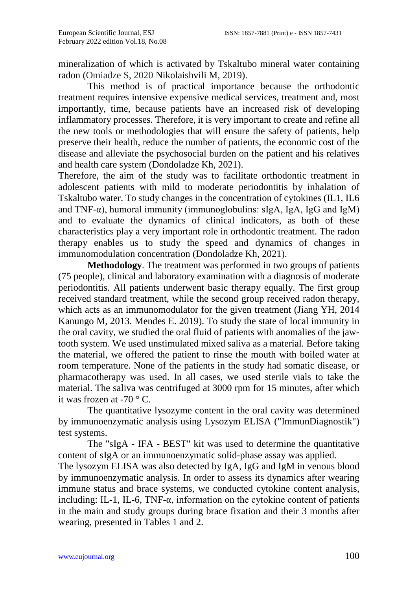mineralization of which is activated by Tskaltubo mineral water containing radon (Omiadze S, 2020 Nikolaishvili M, 2019).

This method is of practical importance because the orthodontic treatment requires intensive expensive medical services, treatment and, most importantly, time, because patients have an increased risk of developing inflammatory processes. Therefore, it is very important to create and refine all the new tools or methodologies that will ensure the safety of patients, help preserve their health, reduce the number of patients, the economic cost of the disease and alleviate the psychosocial burden on the patient and his relatives and health care system (Dondoladze Kh, 2021).

Therefore, the aim of the study was to facilitate orthodontic treatment in adolescent patients with mild to moderate periodontitis by inhalation of Tskaltubo water. To study changes in the concentration of cytokines (IL1, IL6 and TNF- $\alpha$ ), humoral immunity (immunoglobulins: sIgA, IgA, IgG and IgM) and to evaluate the dynamics of clinical indicators, as both of these characteristics play a very important role in orthodontic treatment. The radon therapy enables us to study the speed and dynamics of changes in immunomodulation concentration (Dondoladze Kh, 2021).

**Methodology**. The treatment was performed in two groups of patients (75 people), clinical and laboratory examination with a diagnosis of moderate periodontitis. All patients underwent basic therapy equally. The first group received standard treatment, while the second group received radon therapy, which acts as an immunomodulator for the given treatment (Jiang YH, 2014 Kanungo M, 2013. Mendes E. 2019). To study the state of local immunity in the oral cavity, we studied the oral fluid of patients with anomalies of the jawtooth system. We used unstimulated mixed saliva as a material. Before taking the material, we offered the patient to rinse the mouth with boiled water at room temperature. None of the patients in the study had somatic disease, or pharmacotherapy was used. In all cases, we used sterile vials to take the material. The saliva was centrifuged at 3000 rpm for 15 minutes, after which it was frozen at -70 $\degree$  C.

The quantitative lysozyme content in the oral cavity was determined by immunoenzymatic analysis using Lysozym ELISA ("ImmunDiagnostik") test systems.

The "sIgA - IFA - BEST" kit was used to determine the quantitative content of sIgA or an immunoenzymatic solid-phase assay was applied. The lysozym ELISA was also detected by IgA, IgG and IgM in venous blood by immunoenzymatic analysis. In order to assess its dynamics after wearing immune status and brace systems, we conducted cytokine content analysis, including: IL-1, IL-6, TNF-α, information on the cytokine content of patients in the main and study groups during brace fixation and their 3 months after wearing, presented in Tables 1 and 2.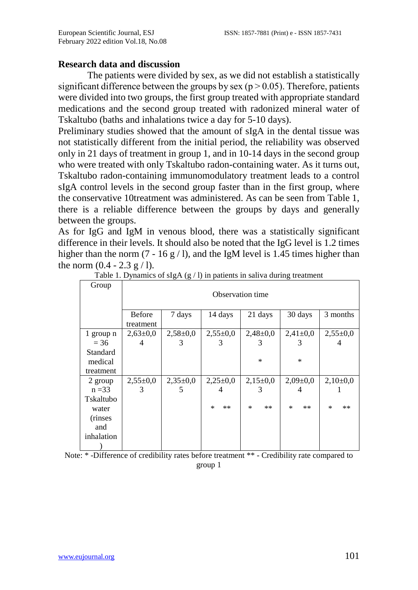## **Research data and discussion**

The patients were divided by sex, as we did not establish a statistically significant difference between the groups by sex ( $p > 0.05$ ). Therefore, patients were divided into two groups, the first group treated with appropriate standard medications and the second group treated with radonized mineral water of Tskaltubo (baths and inhalations twice a day for 5-10 days).

Preliminary studies showed that the amount of sIgA in the dental tissue was not statistically different from the initial period, the reliability was observed only in 21 days of treatment in group 1, and in 10-14 days in the second group who were treated with only Tskaltubo radon-containing water. As it turns out, Tskaltubo radon-containing immunomodulatory treatment leads to a control sIgA control levels in the second group faster than in the first group, where the conservative 10treatment was administered. As can be seen from Table 1, there is a reliable difference between the groups by days and generally between the groups.

As for IgG and IgM in venous blood, there was a statistically significant difference in their levels. It should also be noted that the IgG level is 1.2 times higher than the norm  $(7 - 16 g / l)$ , and the IgM level is 1.45 times higher than the norm  $(0.4 - 2.3 \text{ g} / 1)$ .

| Group                                              | Observation time    |                |                 |                |                |                 |
|----------------------------------------------------|---------------------|----------------|-----------------|----------------|----------------|-----------------|
|                                                    | Before<br>treatment | 7 days         | 14 days         | 21 days        | 30 days        | 3 months        |
| 1 group n                                          | $2,63\pm0.0$        | $2,58 \pm 0,0$ | $2,55 \pm 0.0$  | $2,48 \pm 0,0$ | $2,41\pm0,0$   | $2,55 \pm 0.0$  |
| $= 36$                                             | 4                   | 3              | 3               | 3              | 3              | 4               |
| Standard<br>medical<br>treatment                   |                     |                |                 | *              | $\ast$         |                 |
| 2 group                                            | $2,55 \pm 0,0$      | $2,35\pm0,0$   | $2,25\pm0,0$    | $2,15\pm0,0$   | $2,09 \pm 0,0$ | $2,10\pm0,0$    |
| $n = 33$                                           | 3                   | C.             | 4               | 3              | 4              |                 |
| Tskaltubo<br>water<br>(rinses<br>and<br>inhalation |                     |                | $\ast$<br>$***$ | $**$<br>$\ast$ | $**$<br>$\ast$ | $\ast$<br>$***$ |

| Table 1. Dynamics of $slgA(g / l)$ in patients in saliva during treatment |  |  |  |
|---------------------------------------------------------------------------|--|--|--|
|---------------------------------------------------------------------------|--|--|--|

Note: \* -Difference of credibility rates before treatment \*\* - Credibility rate compared to group 1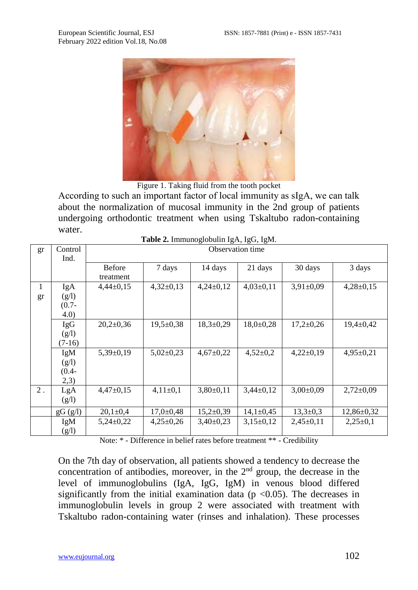

Figure 1. Taking fluid from the tooth pocket

According to such an important factor of local immunity as sIgА, we can talk about the normalization of mucosal immunity in the 2nd group of patients undergoing orthodontic treatment when using Tskaltubo radon-containing water.

| gr    | Control    | <b>Tuble 2.</b> Infinance count $151, 150, 1501$ .<br>Observation time |                 |                 |               |                 |                  |
|-------|------------|------------------------------------------------------------------------|-----------------|-----------------|---------------|-----------------|------------------|
|       | Ind.       |                                                                        |                 |                 |               |                 |                  |
|       |            | <b>Before</b>                                                          | 7 days          | 14 days         | 21 days       | 30 days         | 3 days           |
|       |            | treatment                                                              |                 |                 |               |                 |                  |
| 1     | IgA        | $4,44\pm0,15$                                                          | $4,32\pm0,13$   | $4,24\pm0,12$   | $4,03\pm0,11$ | $3,91\pm0,09$   | $4,28\pm0,15$    |
| gr    | (g/l)      |                                                                        |                 |                 |               |                 |                  |
|       | $(0.7 -$   |                                                                        |                 |                 |               |                 |                  |
|       | 4.0)       |                                                                        |                 |                 |               |                 |                  |
|       | <b>IgG</b> | $20,2{\pm}0,36$                                                        | $19,5 \pm 0,38$ | $18,3 \pm 0.29$ | $18,0+0,28$   | $17,2 \pm 0.26$ | $19,4 \pm 0,42$  |
|       | (g/l)      |                                                                        |                 |                 |               |                 |                  |
|       | $(7-16)$   |                                                                        |                 |                 |               |                 |                  |
|       | IgM        | $5,39\pm0,19$                                                          | $5,02\pm0,23$   | $4,67 \pm 0,22$ | $4,52\pm0,2$  | $4,22\pm0,19$   | $4,95 \pm 0,21$  |
|       | (g/l)      |                                                                        |                 |                 |               |                 |                  |
|       | $(0.4 -$   |                                                                        |                 |                 |               |                 |                  |
|       | 2,3)       |                                                                        |                 |                 |               |                 |                  |
| $2$ . | LgA        | $4,47\pm0,15$                                                          | $4.11 \pm 0.1$  | $3,80\pm0,11$   | $3,44\pm0,12$ | $3,00\pm0,09$   | $2,72\pm0.09$    |
|       | (g/l)      |                                                                        |                 |                 |               |                 |                  |
|       | gG (g/l)   | $20,1 \pm 0,4$                                                         | $17.0 \pm 0.48$ | $15,2{\pm}0,39$ | $14,1\pm0.45$ | $13.3 \pm 0.3$  | $12,86 \pm 0.32$ |
|       | IgM        | $5,24\pm0.22$                                                          | $4,25\pm0.26$   | $3,40\pm0.23$   | $3,15\pm0,12$ | $2,45\pm0,11$   | $2,25\pm0.1$     |
|       | (g/l)      |                                                                        |                 |                 |               |                 |                  |

**Table 2.** Immunoglobulin IgA, IgG, IgM.

Note: \* - Difference in belief rates before treatment \*\* - Credibility

On the 7th day of observation, all patients showed a tendency to decrease the concentration of antibodies, moreover, in the  $2<sup>nd</sup>$  group, the decrease in the level of immunoglobulins (IgA, IgG, IgM) in venous blood differed significantly from the initial examination data ( $p < 0.05$ ). The decreases in immunoglobulin levels in group 2 were associated with treatment with Tskaltubo radon-containing water (rinses and inhalation). These processes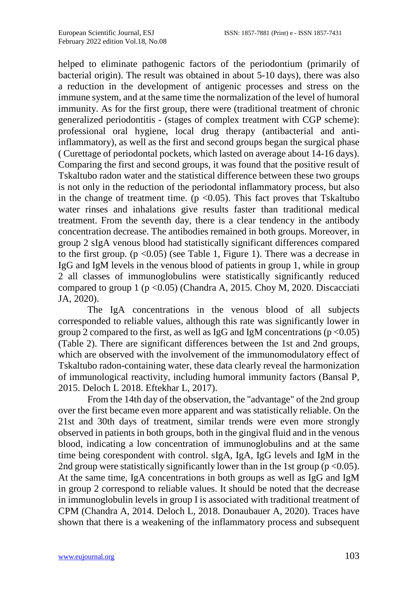helped to eliminate pathogenic factors of the periodontium (primarily of bacterial origin). The result was obtained in about 5-10 days), there was also a reduction in the development of antigenic processes and stress on the immune system, and at the same time the normalization of the level of humoral immunity. As for the first group, there were (traditional treatment of chronic generalized periodontitis - (stages of complex treatment with CGP scheme): professional oral hygiene, local drug therapy (antibacterial and antiinflammatory), as well as the first and second groups began the surgical phase ( Curettage of periodontal pockets, which lasted on average about 14-16 days). Comparing the first and second groups, it was found that the positive result of Tskaltubo radon water and the statistical difference between these two groups is not only in the reduction of the periodontal inflammatory process, but also in the change of treatment time. ( $p \le 0.05$ ). This fact proves that Tskaltubo water rinses and inhalations give results faster than traditional medical treatment. From the seventh day, there is a clear tendency in the antibody concentration decrease. The antibodies remained in both groups. Moreover, in group 2 sIgA venous blood had statistically significant differences compared to the first group.  $(p < 0.05)$  (see Table 1, Figure 1). There was a decrease in IgG and IgM levels in the venous blood of patients in group 1, while in group 2 all classes of immunoglobulins were statistically significantly reduced compared to group 1 ( $p < 0.05$ ) (Chandra A, 2015. Choy M, 2020. Discacciati JA, 2020).

The IgA concentrations in the venous blood of all subjects corresponded to reliable values, although this rate was significantly lower in group 2 compared to the first, as well as IgG and IgM concentrations ( $p < 0.05$ ) (Table 2). There are significant differences between the 1st and 2nd groups, which are observed with the involvement of the immunomodulatory effect of Tskaltubo radon-containing water, these data clearly reveal the harmonization of immunological reactivity, including humoral immunity factors (Bansal P, 2015. Deloch L 2018. Eftekhar L, 2017).

From the 14th day of the observation, the "advantage" of the 2nd group over the first became even more apparent and was statistically reliable. On the 21st and 30th days of treatment, similar trends were even more strongly observed in patients in both groups, both in the gingival fluid and in the venous blood, indicating a low concentration of immunoglobulins and at the same time being corespondent with control. sIgA, IgA, IgG levels and IgM in the 2nd group were statistically significantly lower than in the 1st group ( $p < 0.05$ ). At the same time, IgA concentrations in both groups as well as IgG and IgM in group 2 correspond to reliable values. It should be noted that the decrease in immunoglobulin levels in group I is associated with traditional treatment of CPM (Chandra A, 2014. Deloch L, 2018. Donaubauer A, 2020). Traces have shown that there is a weakening of the inflammatory process and subsequent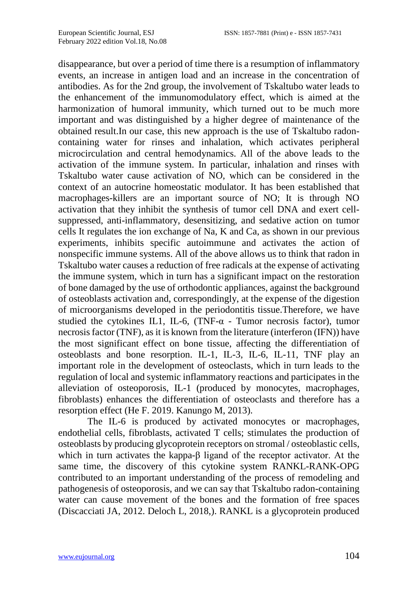disappearance, but over a period of time there is a resumption of inflammatory events, an increase in antigen load and an increase in the concentration of antibodies. As for the 2nd group, the involvement of Tskaltubo water leads to the enhancement of the immunomodulatory effect, which is aimed at the harmonization of humoral immunity, which turned out to be much more important and was distinguished by a higher degree of maintenance of the obtained result.In our case, this new approach is the use of Tskaltubo radoncontaining water for rinses and inhalation, which activates peripheral microcirculation and central hemodynamics. All of the above leads to the activation of the immune system. In particular, inhalation and rinses with Tskaltubo water cause activation of NO, which can be considered in the context of an autocrine homeostatic modulator. It has been established that macrophages-killers are an important source of NO; It is through NO activation that they inhibit the synthesis of tumor cell DNA and exert cellsuppressed, anti-inflammatory, desensitizing, and sedative action on tumor cells It regulates the ion exchange of Na, K and Ca, as shown in our previous experiments, inhibits specific autoimmune and activates the action of nonspecific immune systems. All of the above allows us to think that radon in Tskaltubo water causes a reduction of free radicals at the expense of activating the immune system, which in turn has a significant impact on the restoration of bone damaged by the use of orthodontic appliances, against the background of osteoblasts activation and, correspondingly, at the expense of the digestion of microorganisms developed in the periodontitis tissue.Therefore, we have studied the cytokines IL1, IL-6, (TNF- $\alpha$  - Tumor necrosis factor), tumor necrosis factor (TNF), as it is known from the literature (interferon (IFN)) have the most significant effect on bone tissue, affecting the differentiation of osteoblasts and bone resorption. IL-1, IL-3, IL-6, IL-11, TNF play an important role in the development of osteoclasts, which in turn leads to the regulation of local and systemic inflammatory reactions and participates in the alleviation of osteoporosis, IL-1 (produced by monocytes, macrophages, fibroblasts) enhances the differentiation of osteoclasts and therefore has a resorption effect (He F. 2019. Kanungo M, 2013).

The IL-6 is produced by activated monocytes or macrophages, endothelial cells, fibroblasts, activated T cells; stimulates the production of osteoblasts by producing glycoprotein receptors on stromal / osteoblastic cells, which in turn activates the kappa-β ligand of the receptor activator. At the same time, the discovery of this cytokine system RANKL-RANK-OPG contributed to an important understanding of the process of remodeling and pathogenesis of osteoporosis, and we can say that Tskaltubo radon-containing water can cause movement of the bones and the formation of free spaces (Discacciati JA, 2012. Deloch L, 2018,). RANKL is a glycoprotein produced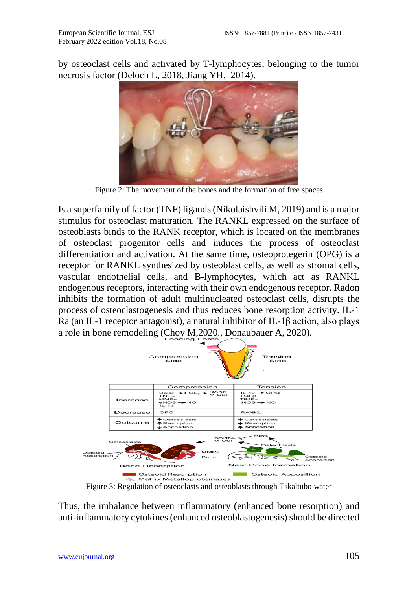by osteoclast cells and activated by T-lymphocytes, belonging to the tumor necrosis factor (Deloch L, 2018, Jiang YH, 2014).



Figure 2: The movement of the bones and the formation of free spaces

Is a superfamily of factor (TNF) ligands (Nikolaishvili M, 2019) and is a major stimulus for osteoclast maturation. The RANKL expressed on the surface of osteoblasts binds to the RANK receptor, which is located on the membranes of osteoclast progenitor cells and induces the process of osteoclast differentiation and activation. At the same time, osteoprotegerin (OPG) is a receptor for RANKL synthesized by osteoblast cells, as well as stromal cells, vascular endothelial cells, and B-lymphocytes, which act as RANKL endogenous receptors, interacting with their own endogenous receptor. Radon inhibits the formation of adult multinucleated osteoclast cells, disrupts the process of osteoclastogenesis and thus reduces bone resorption activity. IL-1 Ra (an IL-1 receptor antagonist), a natural inhibitor of IL-1β action, also plays a role in bone remodeling (Choy M, 2020), Donaubauer A, 2020).



Figure 3: Regulation of osteoclasts and osteoblasts through Tskaltubo water

Thus, the imbalance between inflammatory (enhanced bone resorption) and anti-inflammatory cytokines (enhanced osteoblastogenesis) should be directed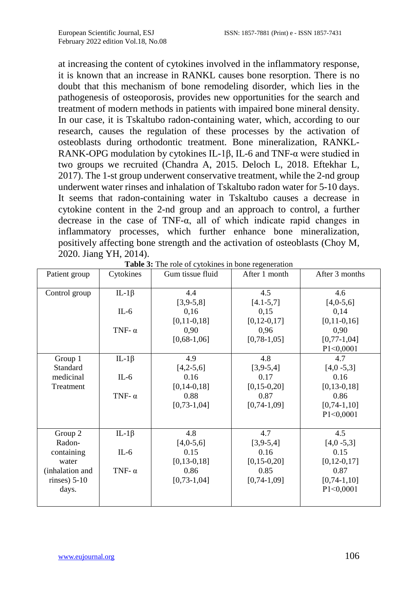at increasing the content of cytokines involved in the inflammatory response, it is known that an increase in RANKL causes bone resorption. There is no doubt that this mechanism of bone remodeling disorder, which lies in the pathogenesis of osteoporosis, provides new opportunities for the search and treatment of modern methods in patients with impaired bone mineral density. In our case, it is Tskaltubo radon-containing water, which, according to our research, causes the regulation of these processes by the activation of osteoblasts during orthodontic treatment. Bone mineralization, RANKL-RANK-OPG modulation by cytokines IL-1β, IL-6 and TNF-α were studied in two groups we recruited (Chandra A, 2015. Deloch L, 2018. Eftekhar L, 2017). The 1-st group underwent conservative treatment, while the 2-nd group underwent water rinses and inhalation of Tskaltubo radon water for 5-10 days. It seems that radon-containing water in Tskaltubo causes a decrease in cytokine content in the 2-nd group and an approach to control, a further decrease in the case of  $TNF-\alpha$ , all of which indicate rapid changes in inflammatory processes, which further enhance bone mineralization, positively affecting bone strength and the activation of osteoblasts (Choy M, 2020. Jiang YH, 2014).

| Patient group   | Cytokines     | Gum tissue fluid | After 1 month     | After 3 months    |
|-----------------|---------------|------------------|-------------------|-------------------|
| Control group   | IL-1 $\beta$  | 4.4              | 4.5               | 4.6               |
|                 |               | $[3,9-5,8]$      | $[4.1 - 5.7]$     | $[4,0-5,6]$       |
|                 | $IL-6$        | 0,16             | 0,15              | 0,14              |
|                 |               | $[0, 11-0, 18]$  | $[0, 12 - 0, 17]$ | $[0, 11-0, 16]$   |
|                 | TNF- $\alpha$ | 0,90             | 0,96              | 0,90              |
|                 |               | $[0,68-1,06]$    | $[0, 78-1, 05]$   | $[0, 77-1, 04]$   |
|                 |               |                  |                   | P1<0,0001         |
| Group 1         | IL-1 $\beta$  | 4.9              | 4.8               | 4.7               |
| Standard        |               | $[4,2-5,6]$      | $[3,9-5,4]$       | $[4,0 -5,3]$      |
| medicinal       | $IL-6$        | 0.16             | 0.17              | 0.16              |
| Treatment       |               | $[0, 14-0, 18]$  | $[0, 15-0, 20]$   | $[0, 13-0, 18]$   |
|                 | TNF- $\alpha$ | 0.88             | 0.87              | 0.86              |
|                 |               | $[0, 73-1, 04]$  | $[0, 74-1, 09]$   | $[0, 74-1, 10]$   |
|                 |               |                  |                   | P1<0,0001         |
|                 |               |                  |                   |                   |
| Group 2         | IL-1 $\beta$  | 4.8              | 4.7               | 4.5               |
| Radon-          |               | $[4,0-5,6]$      | $[3,9-5,4]$       | $[4,0 -5,3]$      |
| containing      | $IL-6$        | 0.15             | 0.16              | 0.15              |
| water           |               | $[0, 13-0, 18]$  | $[0, 15 - 0, 20]$ | $[0, 12 - 0, 17]$ |
| (inhalation and | TNF- $\alpha$ | 0.86             | 0.85              | 0.87              |
| $r$ inses) 5-10 |               | $[0, 73-1, 04]$  | $[0, 74-1, 09]$   | $[0, 74-1, 10]$   |
| days.           |               |                  |                   | P1<0,0001         |
|                 |               |                  |                   |                   |

**Table 3:** The role of cytokines in bone regeneration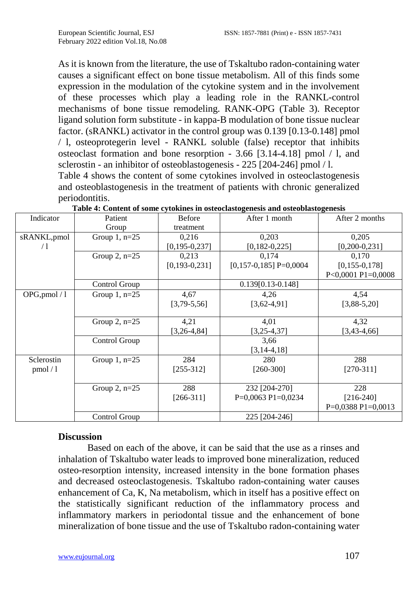As it is known from the literature, the use of Tskaltubo radon-containing water causes a significant effect on bone tissue metabolism. All of this finds some expression in the modulation of the cytokine system and in the involvement of these processes which play a leading role in the RANKL-control mechanisms of bone tissue remodeling. RANK-OPG (Table 3). Receptor ligand solution form substitute - in kappa-B modulation of bone tissue nuclear factor. (sRANKL) activator in the control group was 0.139 [0.13-0.148] pmol / l, osteoprotegerin level - RANKL soluble (false) receptor that inhibits osteoclast formation and bone resorption - 3.66 [3.14-4.18] pmol / l, and sclerostin - an inhibitor of osteoblastogenesis - 225 [204-246] pmol / l.

Table 4 shows the content of some cytokines involved in osteoclastogenesis and osteoblastogenesis in the treatment of patients with chronic generalized periodontitis.

| Indicator     | Patient             | <b>Before</b>       | After 1 month            | After 2 months       |
|---------------|---------------------|---------------------|--------------------------|----------------------|
|               | Group               | treatment           |                          |                      |
| sRANKL,pmol   | Group $1$ , n=25    |                     | 0,203                    | 0,205                |
| /1            |                     | $[0, 195 - 0, 237]$ | $[0,182-0,225]$          | $[0, 200 - 0, 231]$  |
|               | Group $2$ , n= $25$ | 0,213               | 0,174                    | 0,170                |
|               |                     | $[0, 193 - 0, 231]$ | $[0,157-0,185]$ P=0,0004 | $[0, 155 - 0, 178]$  |
|               |                     |                     |                          | P<0,0001 P1=0,0008   |
|               | Control Group       |                     | $0.139[0.13-0.148]$      |                      |
| OPG, pmol / 1 | Group $1$ , n=25    | 4,67                | 4,26                     | 4,54                 |
|               |                     | $[3,79-5,56]$       | $[3,62-4,91]$            | $[3,88-5,20]$        |
|               |                     |                     |                          |                      |
|               | Group $2$ , n= $25$ | 4,21                | 4,01                     | 4,32                 |
|               |                     | $[3, 26 - 4, 84]$   | $[3, 25 - 4, 37]$        | $[3,43-4,66]$        |
|               | Control Group       |                     | 3,66                     |                      |
|               |                     |                     | $[3, 14-4, 18]$          |                      |
| Sclerostin    | Group $1$ , n=25    | 284                 | 280                      | 288                  |
| pmol/1        |                     | $[255-312]$         | $[260-300]$              | $[270-311]$          |
|               |                     |                     |                          |                      |
|               | Group $2$ , n= $25$ | 288                 | 232 [204-270]            | 228                  |
|               |                     | $[266-311]$         | $P=0,0063 P1=0,0234$     | $[216-240]$          |
|               |                     |                     |                          | $P=0,0388 P1=0,0013$ |
|               | Control Group       |                     | 225 [204-246]            |                      |

**Table 4: Content of some cytokines in osteoclastogenesis and osteoblastogenesis**

### **Discussion**

Based on each of the above, it can be said that the use as a rinses and inhalation of Tskaltubo water leads to improved bone mineralization, reduced osteo-resorption intensity, increased intensity in the bone formation phases and decreased osteoclastogenesis. Tskaltubo radon-containing water causes enhancement of Ca, K, Na metabolism, which in itself has a positive effect on the statistically significant reduction of the inflammatory process and inflammatory markers in periodontal tissue and the enhancement of bone mineralization of bone tissue and the use of Tskaltubo radon-containing water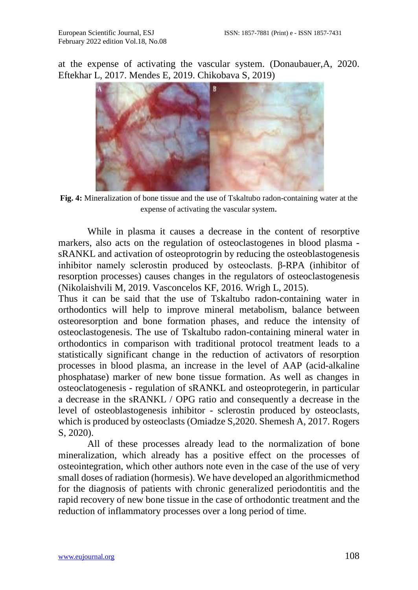at the expense of activating the vascular system. (Donaubauer,A, 2020. Eftekhar L, 2017. Mendes E, 2019. Chikobava S, 2019)



**Fig. 4:** Mineralization of bone tissue and the use of Tskaltubo radon-containing water at the expense of activating the vascular system.

While in plasma it causes a decrease in the content of resorptive markers, also acts on the regulation of osteoclastogenes in blood plasma sRANKL and activation of osteoprotogrin by reducing the osteoblastogenesis inhibitor namely sclerostin produced by osteoclasts. β-RPA (inhibitor of resorption processes) causes changes in the regulators of osteoclastogenesis (Nikolaishvili M, 2019. Vasconcelos KF, 2016. Wrigh L, 2015).

Thus it can be said that the use of Tskaltubo radon-containing water in orthodontics will help to improve mineral metabolism, balance between osteoresorption and bone formation phases, and reduce the intensity of osteoclastogenesis. The use of Tskaltubo radon-containing mineral water in orthodontics in comparison with traditional protocol treatment leads to a statistically significant change in the reduction of activators of resorption processes in blood plasma, an increase in the level of AAP (acid-alkaline phosphatase) marker of new bone tissue formation. As well as changes in osteoclatogenesis - regulation of sRANKL and osteoprotegerin, in particular a decrease in the sRANKL / OPG ratio and consequently a decrease in the level of osteoblastogenesis inhibitor - sclerostin produced by osteoclasts, which is produced by osteoclasts (Omiadze S,2020. Shemesh A, 2017. Rogers S, 2020).

All of these processes already lead to the normalization of bone mineralization, which already has a positive effect on the processes of osteointegration, which other authors note even in the case of the use of very small doses of radiation (hormesis). We have developed an algorithmicmethod for the diagnosis of patients with chronic generalized periodontitis and the rapid recovery of new bone tissue in the case of orthodontic treatment and the reduction of inflammatory processes over a long period of time.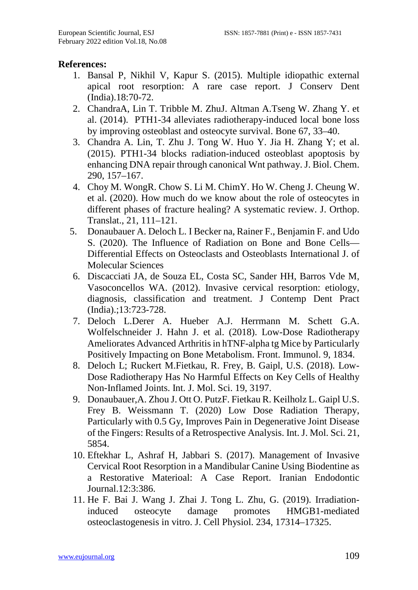## **References:**

- 1. Bansal P, Nikhil V, Kapur S. (2015). Multiple idiopathic external apical root resorption: A rare case report. J Conserv Dent (India).18:70-72.
- 2. ChandraA, Lin T. Tribble M. ZhuJ. Altman A.Tseng W. Zhang Y. et al. (2014). PTH1-34 alleviates radiotherapy-induced local bone loss by improving osteoblast and osteocyte survival. Bone 67, 33–40.
- 3. Chandra A. Lin, T. Zhu J. Tong W. Huo Y. Jia H. Zhang Y; et al. (2015). PTH1-34 blocks radiation-induced osteoblast apoptosis by enhancing DNA repair through canonical Wnt pathway. J. Biol. Chem. 290, 157–167.
- 4. Choy M. WongR. Chow S. Li M. ChimY. Ho W. Cheng J. Cheung W. et al. (2020). How much do we know about the role of osteocytes in different phases of fracture healing? A systematic review. J. Orthop. Translat., 21, 111–121.
- 5. Donaubauer A. Deloch L. I Becker na, Rainer F., Benjamin F. and Udo S. (2020). The Influence of Radiation on Bone and Bone Cells— Differential Effects on Osteoclasts and Osteoblasts International J. of Molecular Sciences
- 6. Discacciati JA, de Souza EL, Costa SC, Sander HH, Barros Vde M, Vasoconcellos WA. (2012). Invasive cervical resorption: etiology, diagnosis, classification and treatment. J Contemp Dent Pract (India).;13:723-728.
- 7. Deloch L.Derer A. Hueber A.J. Herrmann M. Schett G.A. Wolfelschneider J. Hahn J. et al. (2018). Low-Dose Radiotherapy Ameliorates Advanced Arthritis in hTNF-alpha tg Mice by Particularly Positively Impacting on Bone Metabolism. Front. Immunol. 9, 1834.
- 8. Deloch L; Ruckert M.Fietkau, R. Frey, B. Gaipl, U.S. (2018). Low-Dose Radiotherapy Has No Harmful Effects on Key Cells of Healthy Non-Inflamed Joints. Int. J. Mol. Sci. 19, 3197.
- 9. Donaubauer,A. Zhou J. Ott O. PutzF. Fietkau R. Keilholz L. Gaipl U.S. Frey B. Weissmann T. (2020) Low Dose Radiation Therapy, Particularly with 0.5 Gy, Improves Pain in Degenerative Joint Disease of the Fingers: Results of a Retrospective Analysis. Int. J. Mol. Sci. 21, 5854.
- 10. Eftekhar L, Ashraf H, Jabbari S. (2017). Management of Invasive Cervical Root Resorption in a Mandibular Canine Using Biodentine as a Restorative Materioal: A Case Report. Iranian Endodontic Journal.12:3:386.
- 11. He F. Bai J. Wang J. Zhai J. Tong L. Zhu, G. (2019). Irradiationinduced osteocyte damage promotes HMGB1-mediated osteoclastogenesis in vitro. J. Cell Physiol. 234, 17314–17325.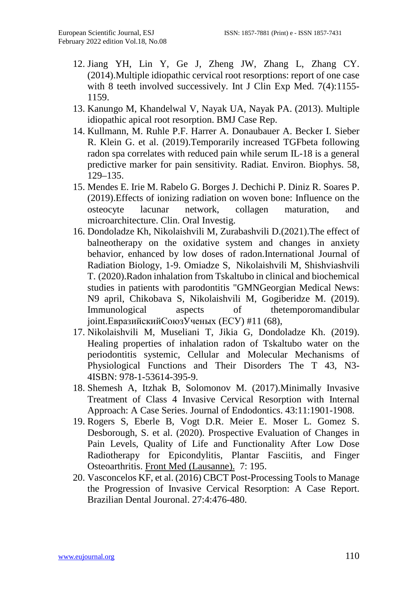- 12. Jiang YH, Lin Y, Ge J, Zheng JW, Zhang L, Zhang CY. (2014).Multiple idiopathic cervical root resorptions: report of one case with 8 teeth involved successively. Int J Clin Exp Med. 7(4):1155-1159.
- 13. Kanungo M, Khandelwal V, Nayak UA, Nayak PA. (2013). Multiple idiopathic apical root resorption. BMJ Case Rep.
- 14. Kullmann, M. Ruhle P.F. Harrer A. Donaubauer A. Becker I. Sieber R. Klein G. et al. (2019).Temporarily increased TGFbeta following radon spa correlates with reduced pain while serum IL-18 is a general predictive marker for pain sensitivity. Radiat. Environ. Biophys. 58, 129–135.
- 15. Mendes E. Irie M. Rabelo G. Borges J. Dechichi P. Diniz R. Soares P. (2019).Effects of ionizing radiation on woven bone: Influence on the osteocyte lacunar network, collagen maturation, and microarchitecture. Clin. Oral Investig.
- 16. Dondoladze Kh, Nikolaishvili M, Zurabashvili D.(2021)[.The effect of](https://scholar.google.com/citations?view_op=view_citation&hl=en&user=jxl6qFwAAAAJ&citation_for_view=jxl6qFwAAAAJ:ZeXyd9-uunAC)  [balneotherapy on the oxidative system and changes in anxiety](https://scholar.google.com/citations?view_op=view_citation&hl=en&user=jxl6qFwAAAAJ&citation_for_view=jxl6qFwAAAAJ:ZeXyd9-uunAC)  [behavior, enhanced by low doses of radon.](https://scholar.google.com/citations?view_op=view_citation&hl=en&user=jxl6qFwAAAAJ&citation_for_view=jxl6qFwAAAAJ:ZeXyd9-uunAC)International Journal of Radiation Biology, 1-9. Omiadze S, Nikolaishvili M, Shishviashvili T. (2020).Radon inhalation from Tskaltubo in clinical and biochemical studies in patients with parodontitis "GMNGeorgian Medical News: N9 april, Chikobava S, Nikolaishvili M, Gogiberidze M. (2019). Immunological aspects of thetemporomandibular joint.ЕвразийскийСоюзУченых (ЕСУ) #11 (68),
- 17. Nikolaishvili M, Museliani T, Jikia G, Dondoladze Kh. (2019). Healing properties of inhalation radon of Tskaltubo water on the periodontitis systemic, Cellular and Molecular Mechanisms of Physiological Functions and Their Disorders The T 43, N3- 4ISBN: 978-1-53614-395-9.
- 18. Shemesh A, Itzhak B, Solomonov M. (2017).Minimally Invasive Treatment of Class 4 Invasive Cervical Resorption with Internal Approach: A Case Series. Journal of Endodontics. 43:11:1901-1908.
- 19. Rogers S, Eberle B, Vogt D.R. Meier E. Moser L. Gomez S. Desborough, S. et al. (2020). Prospective Evaluation of Changes in Pain Levels, Quality of Life and Functionality After Low Dose Radiotherapy for Epicondylitis, Plantar Fasciitis, and Finger Osteoarthritis. [Front Med \(Lausanne\).](https://www.ncbi.nlm.nih.gov/pmc/articles/PMC7249275/) 7: 195.
- 20. Vasconcelos KF, et al. (2016) CBCT Post-Processing Tools to Manage the Progression of Invasive Cervical Resorption: A Case Report. Brazilian Dental Jouronal. 27:4:476-480.